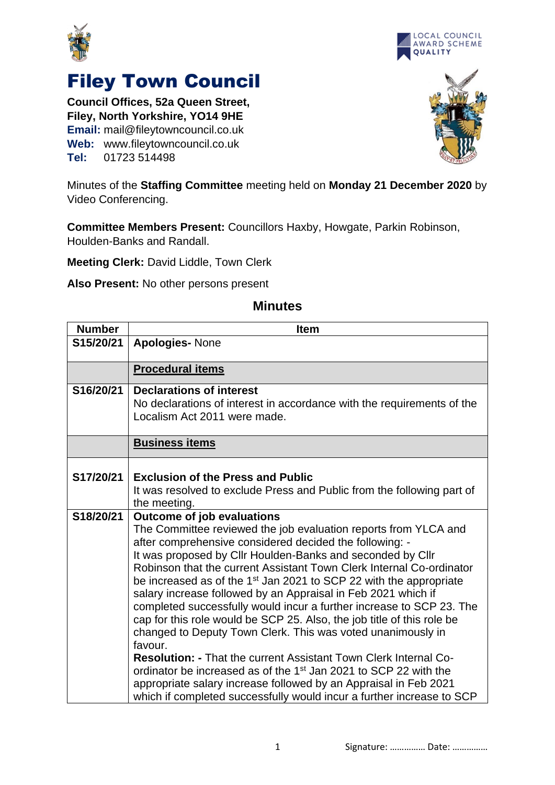



## Filey Town Council

**Council Offices, 52a Queen Street, Filey, North Yorkshire, YO14 9HE Email:** mail@fileytowncouncil.co.uk **Web:** www.fileytowncouncil.co.uk **Tel:** 01723 514498



Minutes of the **Staffing Committee** meeting held on **Monday 21 December 2020** by Video Conferencing.

**Committee Members Present:** Councillors Haxby, Howgate, Parkin Robinson, Houlden-Banks and Randall.

**Meeting Clerk:** David Liddle, Town Clerk

**Also Present:** No other persons present

| <b>Number</b> | <b>Item</b>                                                                                                                                                                                                                                                                                                                                                                                                                                                                                                                                                                                                                                                                                                                                                                                                                                                                                                                                                                                  |
|---------------|----------------------------------------------------------------------------------------------------------------------------------------------------------------------------------------------------------------------------------------------------------------------------------------------------------------------------------------------------------------------------------------------------------------------------------------------------------------------------------------------------------------------------------------------------------------------------------------------------------------------------------------------------------------------------------------------------------------------------------------------------------------------------------------------------------------------------------------------------------------------------------------------------------------------------------------------------------------------------------------------|
| S15/20/21     | <b>Apologies-None</b>                                                                                                                                                                                                                                                                                                                                                                                                                                                                                                                                                                                                                                                                                                                                                                                                                                                                                                                                                                        |
|               | <b>Procedural items</b>                                                                                                                                                                                                                                                                                                                                                                                                                                                                                                                                                                                                                                                                                                                                                                                                                                                                                                                                                                      |
| S16/20/21     | <b>Declarations of interest</b><br>No declarations of interest in accordance with the requirements of the<br>Localism Act 2011 were made.                                                                                                                                                                                                                                                                                                                                                                                                                                                                                                                                                                                                                                                                                                                                                                                                                                                    |
|               | <b>Business items</b>                                                                                                                                                                                                                                                                                                                                                                                                                                                                                                                                                                                                                                                                                                                                                                                                                                                                                                                                                                        |
| S17/20/21     | <b>Exclusion of the Press and Public</b><br>It was resolved to exclude Press and Public from the following part of<br>the meeting.                                                                                                                                                                                                                                                                                                                                                                                                                                                                                                                                                                                                                                                                                                                                                                                                                                                           |
| S18/20/21     | <b>Outcome of job evaluations</b><br>The Committee reviewed the job evaluation reports from YLCA and<br>after comprehensive considered decided the following: -<br>It was proposed by Cllr Houlden-Banks and seconded by Cllr<br>Robinson that the current Assistant Town Clerk Internal Co-ordinator<br>be increased as of the 1 <sup>st</sup> Jan 2021 to SCP 22 with the appropriate<br>salary increase followed by an Appraisal in Feb 2021 which if<br>completed successfully would incur a further increase to SCP 23. The<br>cap for this role would be SCP 25. Also, the job title of this role be<br>changed to Deputy Town Clerk. This was voted unanimously in<br>favour.<br><b>Resolution: - That the current Assistant Town Clerk Internal Co-</b><br>ordinator be increased as of the 1 <sup>st</sup> Jan 2021 to SCP 22 with the<br>appropriate salary increase followed by an Appraisal in Feb 2021<br>which if completed successfully would incur a further increase to SCP |

## **Minutes**